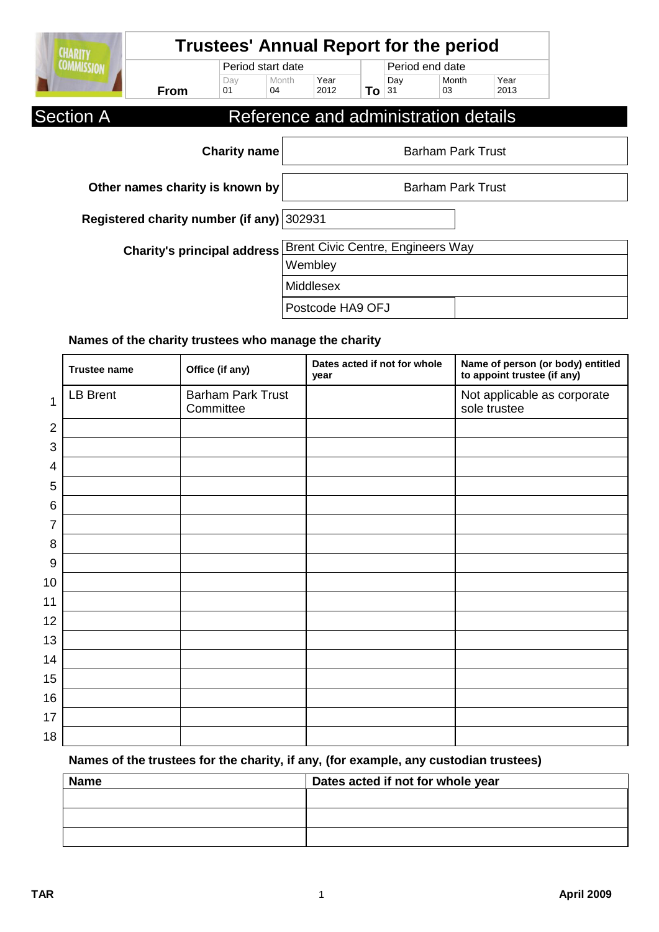| <b>CHARITY</b>                     |                                           | <b>Trustees' Annual Report for the period</b> |                          |                  |         |                                          |                                      |              |  |
|------------------------------------|-------------------------------------------|-----------------------------------------------|--------------------------|------------------|---------|------------------------------------------|--------------------------------------|--------------|--|
| <b>COMMISSION</b>                  |                                           | Period start date                             |                          |                  |         | Period end date                          |                                      |              |  |
|                                    | <b>From</b>                               | Day<br>01                                     | Month<br>04              | Year<br>2012     | $To$ 31 | Day                                      | Month<br>03                          | Year<br>2013 |  |
| <b>Section A</b>                   |                                           |                                               |                          |                  |         |                                          | Reference and administration details |              |  |
|                                    |                                           | <b>Charity name</b>                           |                          |                  |         |                                          | <b>Barham Park Trust</b>             |              |  |
| Other names charity is known by    |                                           |                                               | <b>Barham Park Trust</b> |                  |         |                                          |                                      |              |  |
|                                    | Registered charity number (if any) 302931 |                                               |                          |                  |         |                                          |                                      |              |  |
| <b>Charity's principal address</b> |                                           |                                               |                          |                  |         | <b>Brent Civic Centre, Engineers Way</b> |                                      |              |  |
|                                    |                                           |                                               | Wembley                  |                  |         |                                          |                                      |              |  |
|                                    |                                           |                                               |                          | Middlesex        |         |                                          |                                      |              |  |
|                                    |                                           |                                               |                          | Postcode HA9 OFJ |         |                                          |                                      |              |  |

## **Names of the charity trustees who manage the charity**

|                | <b>Trustee name</b> | Office (if any)                       | Dates acted if not for whole<br>year | Name of person (or body) entitled<br>to appoint trustee (if any) |
|----------------|---------------------|---------------------------------------|--------------------------------------|------------------------------------------------------------------|
| 1              | <b>LB Brent</b>     | <b>Barham Park Trust</b><br>Committee |                                      | Not applicable as corporate<br>sole trustee                      |
| $\overline{2}$ |                     |                                       |                                      |                                                                  |
| 3              |                     |                                       |                                      |                                                                  |
| 4              |                     |                                       |                                      |                                                                  |
| 5              |                     |                                       |                                      |                                                                  |
| 6              |                     |                                       |                                      |                                                                  |
| 7              |                     |                                       |                                      |                                                                  |
| 8              |                     |                                       |                                      |                                                                  |
| 9              |                     |                                       |                                      |                                                                  |
| 10             |                     |                                       |                                      |                                                                  |
| 11             |                     |                                       |                                      |                                                                  |
| 12             |                     |                                       |                                      |                                                                  |
| 13             |                     |                                       |                                      |                                                                  |
| 14             |                     |                                       |                                      |                                                                  |
| 15             |                     |                                       |                                      |                                                                  |
| 16             |                     |                                       |                                      |                                                                  |
| 17             |                     |                                       |                                      |                                                                  |
| 18             |                     |                                       |                                      |                                                                  |

## **Names of the trustees for the charity, if any, (for example, any custodian trustees)**

| <b>Name</b> | Dates acted if not for whole year |  |  |
|-------------|-----------------------------------|--|--|
|             |                                   |  |  |
|             |                                   |  |  |
|             |                                   |  |  |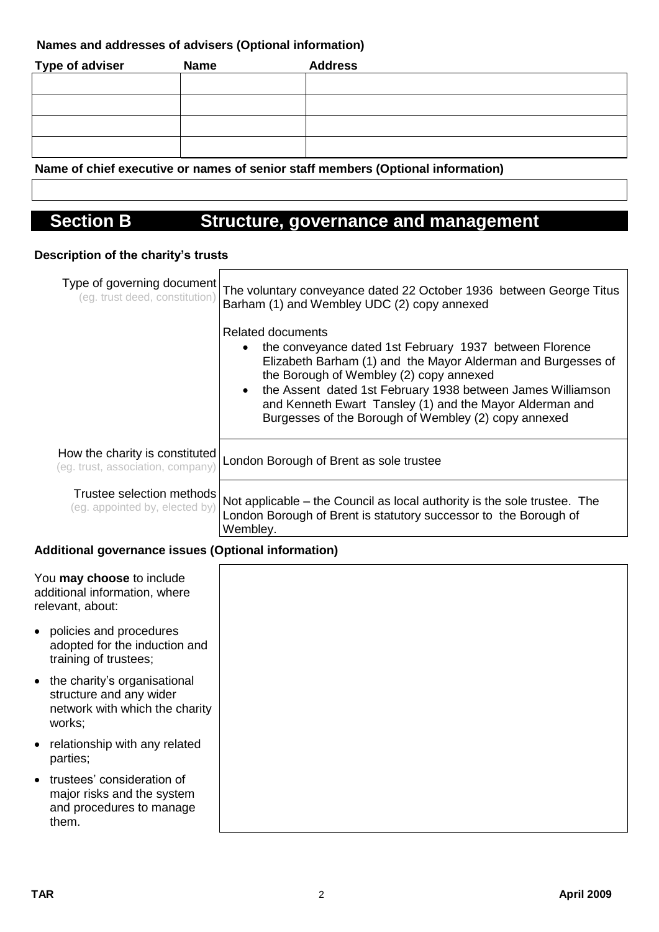## **Names and addresses of advisers (Optional information)**

| <b>Type of adviser</b> | <b>Name</b> | <b>Address</b> |
|------------------------|-------------|----------------|
|                        |             |                |
|                        |             |                |
|                        |             |                |
|                        |             |                |

### **Name of chief executive or names of senior staff members (Optional information)**

# **Section B Structure, governance and management**

### **Description of the charity's trusts**

| Type of governing document<br>(eg. trust deed, constitution)                                               | The voluntary conveyance dated 22 October 1936 between George Titus<br>Barham (1) and Wembley UDC (2) copy annexed                                                                                                                                                                                                                                                                                          |
|------------------------------------------------------------------------------------------------------------|-------------------------------------------------------------------------------------------------------------------------------------------------------------------------------------------------------------------------------------------------------------------------------------------------------------------------------------------------------------------------------------------------------------|
|                                                                                                            | <b>Related documents</b><br>the conveyance dated 1st February 1937 between Florence<br>$\bullet$<br>Elizabeth Barham (1) and the Mayor Alderman and Burgesses of<br>the Borough of Wembley (2) copy annexed<br>the Assent dated 1st February 1938 between James Williamson<br>$\bullet$<br>and Kenneth Ewart Tansley (1) and the Mayor Alderman and<br>Burgesses of the Borough of Wembley (2) copy annexed |
| How the charity is constituted<br>(eg. trust, association, company)                                        | London Borough of Brent as sole trustee                                                                                                                                                                                                                                                                                                                                                                     |
| Trustee selection methods<br>(eg. appointed by, elected by)                                                | Not applicable – the Council as local authority is the sole trustee. The<br>London Borough of Brent is statutory successor to the Borough of<br>Wembley.                                                                                                                                                                                                                                                    |
| Additional governance issues (Optional information)                                                        |                                                                                                                                                                                                                                                                                                                                                                                                             |
| You may choose to include<br>additional information, where<br>relevant, about:                             |                                                                                                                                                                                                                                                                                                                                                                                                             |
| • policies and procedures<br>adopted for the induction and<br>training of trustees;                        |                                                                                                                                                                                                                                                                                                                                                                                                             |
| • the charity's organisational<br>structure and any wider<br>network with which the charity<br>works;      |                                                                                                                                                                                                                                                                                                                                                                                                             |
| • relationship with any related<br>parties;                                                                |                                                                                                                                                                                                                                                                                                                                                                                                             |
| trustees' consideration of<br>$\bullet$<br>major risks and the system<br>and procedures to manage<br>them. |                                                                                                                                                                                                                                                                                                                                                                                                             |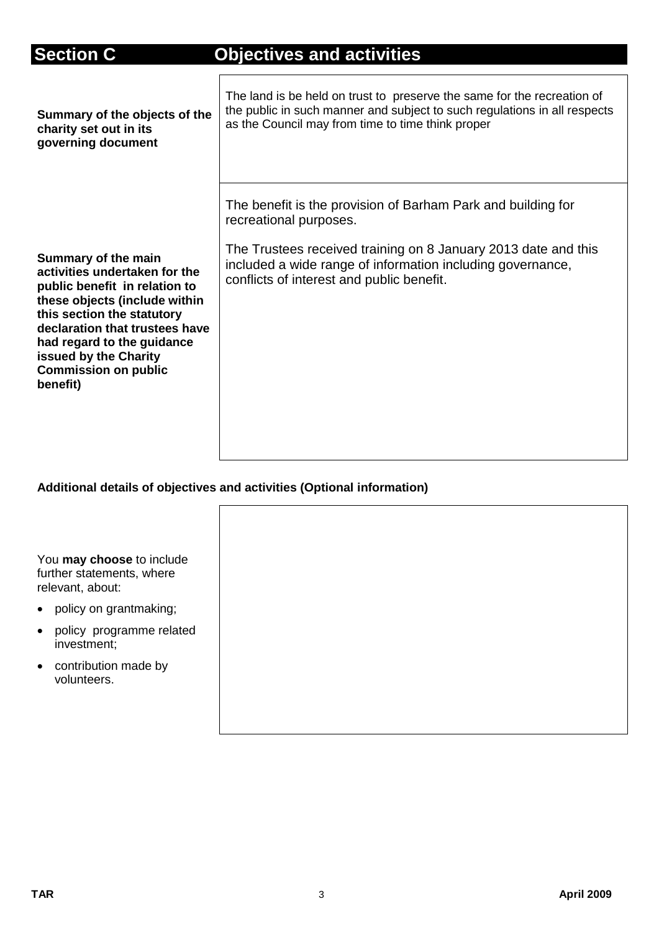# **Section C Objectives and activities**

| Summary of the objects of the                                                                                                                                                                                                                                                            | The land is be held on trust to preserve the same for the recreation of                                                                                                                                                                                             |
|------------------------------------------------------------------------------------------------------------------------------------------------------------------------------------------------------------------------------------------------------------------------------------------|---------------------------------------------------------------------------------------------------------------------------------------------------------------------------------------------------------------------------------------------------------------------|
| charity set out in its                                                                                                                                                                                                                                                                   | the public in such manner and subject to such regulations in all respects                                                                                                                                                                                           |
| governing document                                                                                                                                                                                                                                                                       | as the Council may from time to time think proper                                                                                                                                                                                                                   |
| Summary of the main<br>activities undertaken for the<br>public benefit in relation to<br>these objects (include within<br>this section the statutory<br>declaration that trustees have<br>had regard to the guidance<br>issued by the Charity<br><b>Commission on public</b><br>benefit) | The benefit is the provision of Barham Park and building for<br>recreational purposes.<br>The Trustees received training on 8 January 2013 date and this<br>included a wide range of information including governance,<br>conflicts of interest and public benefit. |

## **Additional details of objectives and activities (Optional information)**

 $\Gamma$ 

| You may choose to include<br>further statements, where<br>relevant, about: |
|----------------------------------------------------------------------------|
| policy on grantmaking;                                                     |
| policy programme related<br>$\bullet$<br>investment;                       |
| contribution made by<br>$\bullet$<br>volunteers.                           |
|                                                                            |
|                                                                            |

٦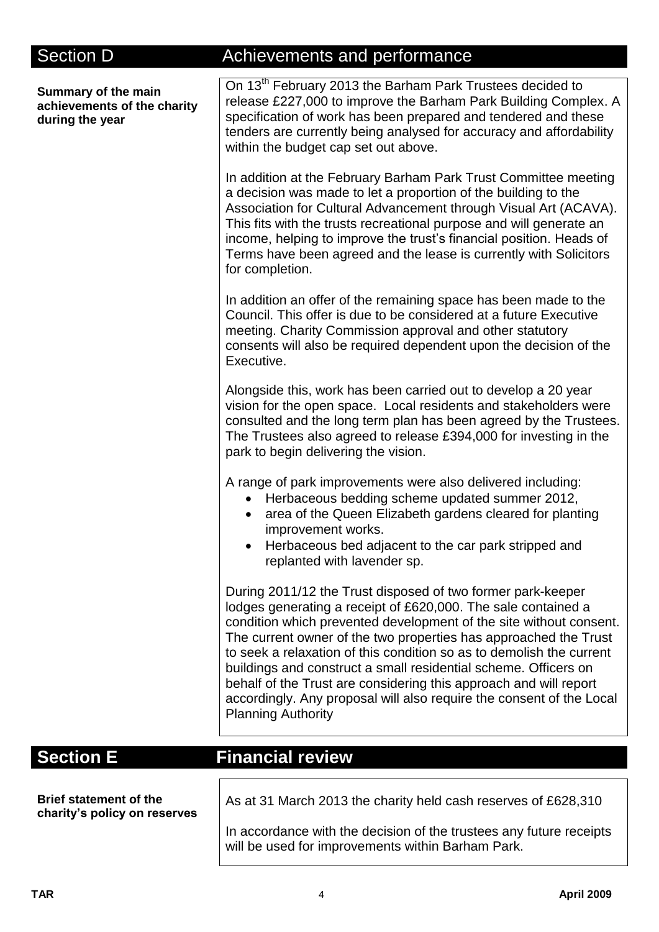# Section D **Achievements and performance**

|                                                                       | On 13 <sup>th</sup> February 2013 the Barham Park Trustees decided to                                                                                                                                                                                                                                                                                                                                                                                                                                                                                                                       |
|-----------------------------------------------------------------------|---------------------------------------------------------------------------------------------------------------------------------------------------------------------------------------------------------------------------------------------------------------------------------------------------------------------------------------------------------------------------------------------------------------------------------------------------------------------------------------------------------------------------------------------------------------------------------------------|
| Summary of the main<br>achievements of the charity<br>during the year | release £227,000 to improve the Barham Park Building Complex. A<br>specification of work has been prepared and tendered and these<br>tenders are currently being analysed for accuracy and affordability<br>within the budget cap set out above.                                                                                                                                                                                                                                                                                                                                            |
|                                                                       | In addition at the February Barham Park Trust Committee meeting<br>a decision was made to let a proportion of the building to the<br>Association for Cultural Advancement through Visual Art (ACAVA).<br>This fits with the trusts recreational purpose and will generate an<br>income, helping to improve the trust's financial position. Heads of<br>Terms have been agreed and the lease is currently with Solicitors<br>for completion.                                                                                                                                                 |
|                                                                       | In addition an offer of the remaining space has been made to the<br>Council. This offer is due to be considered at a future Executive<br>meeting. Charity Commission approval and other statutory<br>consents will also be required dependent upon the decision of the<br>Executive.                                                                                                                                                                                                                                                                                                        |
|                                                                       | Alongside this, work has been carried out to develop a 20 year<br>vision for the open space. Local residents and stakeholders were<br>consulted and the long term plan has been agreed by the Trustees.<br>The Trustees also agreed to release £394,000 for investing in the<br>park to begin delivering the vision.                                                                                                                                                                                                                                                                        |
|                                                                       | A range of park improvements were also delivered including:<br>Herbaceous bedding scheme updated summer 2012,<br>area of the Queen Elizabeth gardens cleared for planting<br>improvement works.<br>Herbaceous bed adjacent to the car park stripped and<br>replanted with lavender sp.                                                                                                                                                                                                                                                                                                      |
|                                                                       | During 2011/12 the Trust disposed of two former park-keeper<br>lodges generating a receipt of £620,000. The sale contained a<br>condition which prevented development of the site without consent.<br>The current owner of the two properties has approached the Trust<br>to seek a relaxation of this condition so as to demolish the current<br>buildings and construct a small residential scheme. Officers on<br>behalf of the Trust are considering this approach and will report<br>accordingly. Any proposal will also require the consent of the Local<br><b>Planning Authority</b> |
| <b>Section E</b>                                                      | <b>Financial review</b>                                                                                                                                                                                                                                                                                                                                                                                                                                                                                                                                                                     |
|                                                                       |                                                                                                                                                                                                                                                                                                                                                                                                                                                                                                                                                                                             |

**Brief statement of the charity's policy on reserves**  As at 31 March 2013 the charity held cash reserves of £628,310

In accordance with the decision of the trustees any future receipts will be used for improvements within Barham Park.